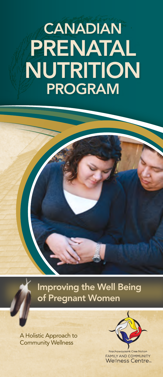# **CANADIAN** PRENATAL NUTRITION PROGRAM

Improving the Well Being of Pregnant Women

A Holistic Approach to Community Wellness



**FAMILY AND COMMUNITY Wellness Centre**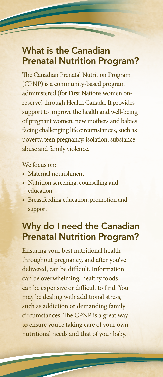### What is the Canadian Prenatal Nutrition Program?

The Canadian Prenatal Nutrition Program (CPNP) is a community-based program administered (for First Nations women onreserve) through Health Canada. It provides support to improve the health and well-being of pregnant women, new mothers and babies facing challenging life circumstances, such as poverty, teen pregnancy, isolation, substance abuse and family violence.

#### We focus on:

- Maternal nourishment
- Nutrition screening, counselling and education
- Breastfeeding education, promotion and support

## Why do I need the Canadian Prenatal Nutrition Program?

Ensuring your best nutritional health throughout pregnancy, and after you've delivered, can be difficult. Information can be overwhelming; healthy foods can be expensive or difficult to find. You may be dealing with additional stress, such as addiction or demanding family circumstances. The CPNP is a great way to ensure you're taking care of your own nutritional needs and that of your baby.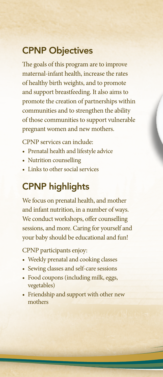#### CPNP Objectives

The goals of this program are to improve maternal-infant health, increase the rates of healthy birth weights, and to promote and support breastfeeding. It also aims to promote the creation of partnerships within communities and to strengthen the ability of those communities to support vulnerable pregnant women and new mothers.

CPNP services can include:

- Prenatal health and lifestyle advice
- Nutrition counselling
- Links to other social services

### CPNP highlights

We focus on prenatal health, and mother and infant nutrition, in a number of ways. We conduct workshops, offer counselling sessions, and more. Caring for yourself and your baby should be educational and fun!

CPNP participants enjoy:

- Weekly prenatal and cooking classes
- Sewing classes and self-care sessions
- Food coupons (including milk, eggs, vegetables)
- Friendship and support with other new mothers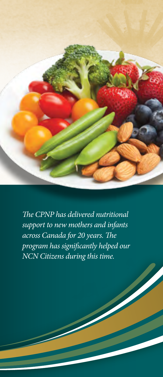

*The CPNP has delivered nutritional support to new mothers and infants across Canada for 20 years. The program has significantly helped our NCN Citizens during this time.*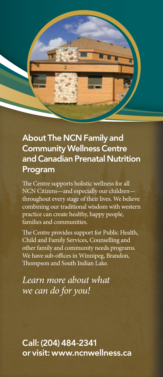

#### About The NCN Family and Community Wellness Centre and Canadian Prenatal Nutrition Program

The Centre supports holistic wellness for all NCN Citizens—and especially our children throughout every stage of their lives. We believe combining our traditional wisdom with western practice can create healthy, happy people, families and communities.

The Centre provides support for Public Health, Child and Family Services, Counselling and other family and community needs programs. We have sub-offices in Winnipeg, Brandon, Thompson and South Indian Lake.

*Learn more about what we can do for you!*

Call: (204) 484-2341 or visit: www.ncnwellness.ca